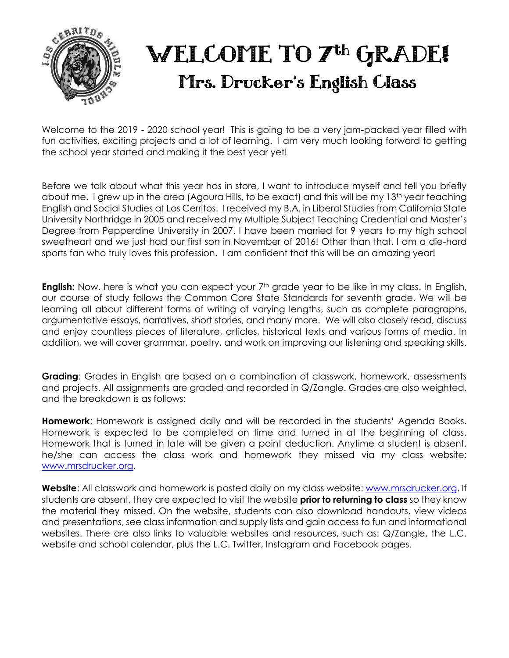

Welcome to the 2019 - 2020 school year! This is going to be a very jam-packed year filled with fun activities, exciting projects and a lot of learning. I am very much looking forward to getting the school year started and making it the best year yet!

Before we talk about what this year has in store, I want to introduce myself and tell you briefly about me. I grew up in the area (Agoura Hills, to be exact) and this will be my 13<sup>th</sup> year teaching English and Social Studies at Los Cerritos. I received my B.A. in Liberal Studies from California State University Northridge in 2005 and received my Multiple Subject Teaching Credential and Master's Degree from Pepperdine University in 2007. I have been married for 9 years to my high school sweetheart and we just had our first son in November of 2016! Other than that, I am a die-hard sports fan who truly loves this profession. I am confident that this will be an amazing year!

**English:** Now, here is what you can expect your 7<sup>th</sup> grade year to be like in my class. In English, our course of study follows the Common Core State Standards for seventh grade. We will be learning all about different forms of writing of varying lengths, such as complete paragraphs, argumentative essays, narratives, short stories, and many more. We will also closely read, discuss and enjoy countless pieces of literature, articles, historical texts and various forms of media. In addition, we will cover grammar, poetry, and work on improving our listening and speaking skills.

**Grading**: Grades in English are based on a combination of classwork, homework, assessments and projects. All assignments are graded and recorded in Q/Zangle. Grades are also weighted, and the breakdown is as follows:

**Homework**: Homework is assigned daily and will be recorded in the students' Agenda Books. Homework is expected to be completed on time and turned in at the beginning of class. Homework that is turned in late will be given a point deduction. Anytime a student is absent, he/she can access the class work and homework they missed via my class website: [www.mrsdrucker.org.](http://www.mrsdrucker.org/)

Website: All classwork and homework is posted daily on my class website: [www.mrsdrucker.org.](http://www.mrsdrucker.org/) If students are absent, they are expected to visit the website **prior to returning to class** so they know the material they missed. On the website, students can also download handouts, view videos and presentations, see class information and supply lists and gain access to fun and informational websites. There are also links to valuable websites and resources, such as: Q/Zangle, the L.C. website and school calendar, plus the L.C. Twitter, Instagram and Facebook pages.